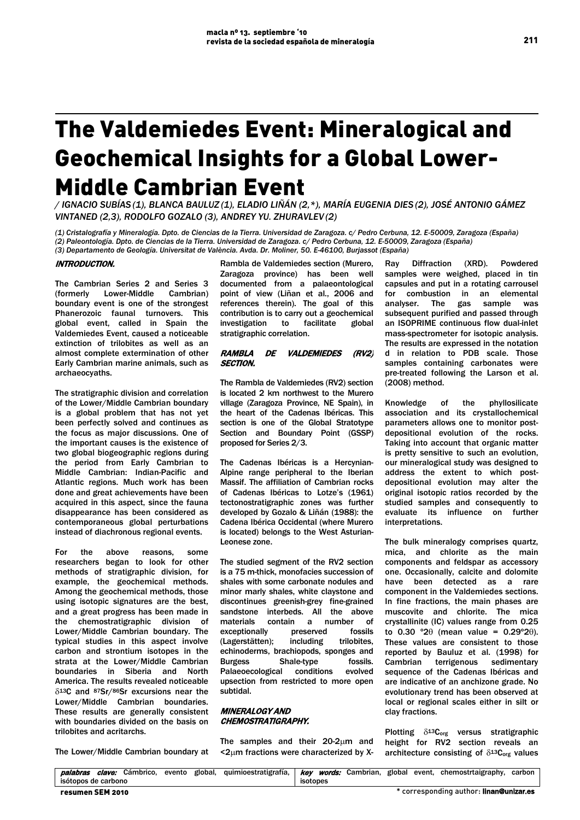# The Valdemiedes Event: Mineralogical and Geochemical Insights for a Global Lower-Middle Cambrian Event

*/ IGNACIO SUBÍAS (1), BLANCA BAULUZ (1), ELADIO LIÑÁN (2,\*), MARÍA EUGENIA DIES (2), JOSÉ ANTONIO GÁMEZ VINTANED (2,3), RODOLFO GOZALO (3), ANDREY YU. ZHURAVLEV (2)*

*(1) Cristalografía y Mineralogía. Dpto. de Ciencias de la Tierra. Universidad de Zaragoza. c/ Pedro Cerbuna, 12. E-50009, Zaragoza (España) (2) Paleontología. Dpto. de Ciencias de la Tierra. Universidad de Zaragoza. c/ Pedro Cerbuna, 12. E-50009, Zaragoza (España) (3) Departamento de Geología. Universitat de València. Avda. Dr. Moliner, 50. E-46100, Burjassot (España)*

# INTRODUCTION.

The Cambrian Series 2 and Series 3<br>(formerly Lower-Middle Cambrian) (formerly Lower-Middle boundary event is one of the strongest Phanerozoic faunal turnovers. This global event, called in Spain the Valdemiedes Event, caused a noticeable extinction of trilobites as well as an almost complete extermination of other Early Cambrian marine animals, such as archaeocyaths.

The stratigraphic division and correlation of the Lower/Middle Cambrian boundary is a global problem that has not yet been perfectly solved and continues as the focus as major discussions. One of the important causes is the existence of two global biogeographic regions during the period from Early Cambrian to Middle Cambrian: Indian-Pacific and Atlantic regions. Much work has been done and great achievements have been acquired in this aspect, since the fauna disappearance has been considered as contemporaneous global perturbations instead of diachronous regional events.

For the above reasons, some researchers began to look for other methods of stratigraphic division, for example, the geochemical methods. Among the geochemical methods, those using isotopic signatures are the best, and a great progress has been made in the chemostratigraphic division of Lower/Middle Cambrian boundary. The typical studies in this aspect involve carbon and strontium isotopes in the strata at the Lower/Middle Cambrian boundaries in Siberia and North America. The results revealed noticeable  $\delta^{13}$ C and  $87$ Sr/ $86$ Sr excursions near the Lower/Middle Cambrian boundaries. These results are generally consistent with boundaries divided on the basis on trilobites and acritarchs.

The Lower/Middle Cambrian boundary at

Rambla de Valdemiedes section (Murero, Zaragoza province) has been well documented from a palaeontological point of view (Liñan et al., 2006 and references therein). The goal of this contribution is to carry out a geochemical investigation to facilitate global stratigraphic correlation.

## RAMBLA DE VALDEMIEDES (RV2) SECTION.

The Rambla de Valdemiedes (RV2) section is located 2 km northwest to the Murero village (Zaragoza Province, NE Spain), in the heart of the Cadenas Ibéricas. This section is one of the Global Stratotype Section and Boundary Point (GSSP) proposed for Series 2/3.

The Cadenas Ibéricas is a Hercynian-Alpine range peripheral to the Iberian Massif. The affiliation of Cambrian rocks of Cadenas Ibéricas to Lotze's (1961) tectonostratigraphic zones was further developed by Gozalo & Liñán (1988): the Cadena Ibérica Occidental (where Murero is located) belongs to the West Asturian-Leonese zone.

The studied segment of the RV2 section is a 75 m-thick, monofacies succession of shales with some carbonate nodules and minor marly shales, white claystone and discontinues greenish-grey fine-grained sandstone interbeds. All the above materials contain a number of exceptionally preserved fossils (Lagerstätten); including trilobites, echinoderms, brachiopods, sponges and Burgess Shale-type fossils. Palaeoecological conditions evolved upsection from restricted to more open subtidal.

# MINERALOGY AND CHEMOSTRATIGRAPHY.

The samples and their  $20-2\mu m$  and <2µm fractions were characterized by X- Ray Diffraction (XRD). Powdered samples were weighed, placed in tin capsules and put in a rotating carrousel for combustion in an elemental analyser. The gas sample was subsequent purified and passed through an ISOPRIME continuous flow dual-inlet mass-spectrometer for isotopic analysis. The results are expressed in the notation d in relation to PDB scale. Those samples containing carbonates were pre-treated following the Larson et al. (2008) method.

Knowledge of the phyllosilicate association and its crystallochemical parameters allows one to monitor postdepositional evolution of the rocks. Taking into account that organic matter is pretty sensitive to such an evolution, our mineralogical study was designed to address the extent to which postdepositional evolution may alter the original isotopic ratios recorded by the studied samples and consequently to evaluate its influence on further interpretations.

The bulk mineralogy comprises quartz, mica, and chlorite as the main components and feldspar as accessory one. Occasionally, calcite and dolomite have been detected as a rare component in the Valdemiedes sections. In fine fractions, the main phases are muscovite and chlorite. The mica crystallinite (IC) values range from 0.25 to  $0.30$  °2θ (mean value =  $0.29$ °2θ). These values are consistent to those reported by Bauluz et al. (1998) for Cambrian terrigenous sedimentary sequence of the Cadenas Ibéricas and are indicative of an anchizone grade. No evolutionary trend has been observed at local or regional scales either in silt or clay fractions.

Plotting  $\delta^{13}$ C<sub>org</sub> versus stratigraphic height for RV2 section reveals an architecture consisting of  $\delta^{13}C_{org}$  values

| palabras            |  |  |  |  | clave: Cámbrico, evento global, quimioestratigrafía, <i>key words:</i> Cambrian, global event, chemostrtaigraphy, carbon |  |          |  |                                                |  |
|---------------------|--|--|--|--|--------------------------------------------------------------------------------------------------------------------------|--|----------|--|------------------------------------------------|--|
| isótopos de carbono |  |  |  |  |                                                                                                                          |  | isotopes |  |                                                |  |
| resumen SEM 2010    |  |  |  |  |                                                                                                                          |  |          |  | * corresponding author: <b>linan@unizar.es</b> |  |